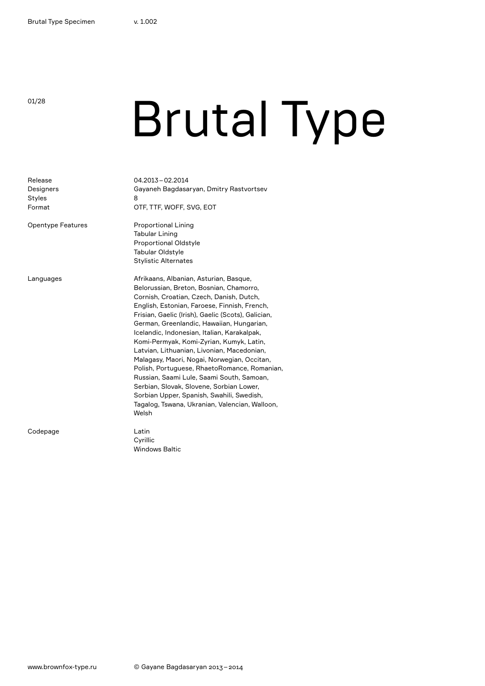# **Brutal Type**

| Release<br>Designers<br><b>Styles</b><br>Format<br><b>Opentype Features</b> | 04.2013-02.2014<br>Gayaneh Bagdasaryan, Dmitry Rastvortsev<br>8<br>OTF, TTF, WOFF, SVG, EOT<br><b>Proportional Lining</b><br><b>Tabular Lining</b><br><b>Proportional Oldstyle</b><br><b>Tabular Oldstyle</b>                                                                                                                                                                                                                                                                                                                                                                                                                                                                                                             |
|-----------------------------------------------------------------------------|---------------------------------------------------------------------------------------------------------------------------------------------------------------------------------------------------------------------------------------------------------------------------------------------------------------------------------------------------------------------------------------------------------------------------------------------------------------------------------------------------------------------------------------------------------------------------------------------------------------------------------------------------------------------------------------------------------------------------|
|                                                                             | <b>Stylistic Alternates</b>                                                                                                                                                                                                                                                                                                                                                                                                                                                                                                                                                                                                                                                                                               |
| Languages                                                                   | Afrikaans, Albanian, Asturian, Basque,<br>Belorussian, Breton, Bosnian, Chamorro,<br>Cornish, Croatian, Czech, Danish, Dutch,<br>English, Estonian, Faroese, Finnish, French,<br>Frisian, Gaelic (Irish), Gaelic (Scots), Galician,<br>German, Greenlandic, Hawaiian, Hungarian,<br>Icelandic, Indonesian, Italian, Karakalpak,<br>Komi-Permyak, Komi-Zyrian, Kumyk, Latin,<br>Latvian, Lithuanian, Livonian, Macedonian,<br>Malagasy, Maori, Nogai, Norwegian, Occitan,<br>Polish, Portuguese, RhaetoRomance, Romanian,<br>Russian, Saami Lule, Saami South, Samoan,<br>Serbian, Slovak, Slovene, Sorbian Lower,<br>Sorbian Upper, Spanish, Swahili, Swedish,<br>Tagalog, Tswana, Ukranian, Valencian, Walloon,<br>Welsh |
| Codepage                                                                    | Latin<br>Cyrillic<br><b>Windows Baltic</b>                                                                                                                                                                                                                                                                                                                                                                                                                                                                                                                                                                                                                                                                                |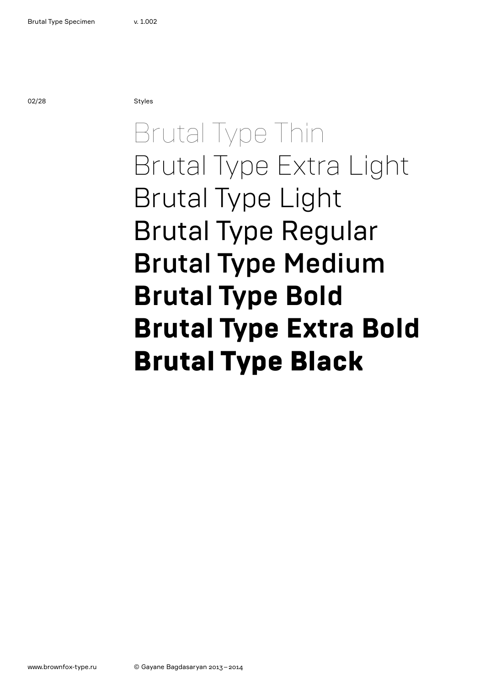02/28 Styles

### Brutal Type Thin Brutal Type Extra Light Brutal Type Light Brutal Type Regular Brutal Type Medium **Brutal Type Bold Brutal Type Extra Bold** Brutal Type Black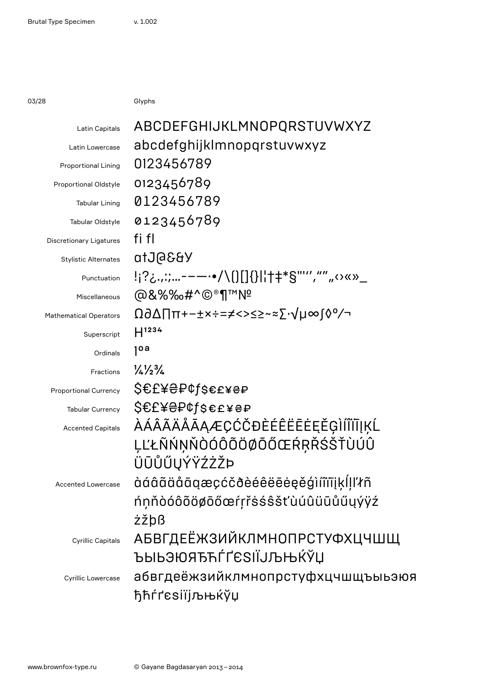03/28 Glyphs

| Latin Capitals                 | ABCDEFGHIJKLMNOPQRSTUVWXYZ                                                                                                                                                                                                                                                                                                                                                                                                                                                                                                                                                                                                                                                                                                                                                                                                                                                                                                                                                                                                                                                                                                       |  |
|--------------------------------|----------------------------------------------------------------------------------------------------------------------------------------------------------------------------------------------------------------------------------------------------------------------------------------------------------------------------------------------------------------------------------------------------------------------------------------------------------------------------------------------------------------------------------------------------------------------------------------------------------------------------------------------------------------------------------------------------------------------------------------------------------------------------------------------------------------------------------------------------------------------------------------------------------------------------------------------------------------------------------------------------------------------------------------------------------------------------------------------------------------------------------|--|
| Latin Lowercase                | abcdefghijklmnopqrstuvwxyz                                                                                                                                                                                                                                                                                                                                                                                                                                                                                                                                                                                                                                                                                                                                                                                                                                                                                                                                                                                                                                                                                                       |  |
| <b>Proportional Lining</b>     | 0123456789                                                                                                                                                                                                                                                                                                                                                                                                                                                                                                                                                                                                                                                                                                                                                                                                                                                                                                                                                                                                                                                                                                                       |  |
| Proportional Oldstyle          | 0123456789                                                                                                                                                                                                                                                                                                                                                                                                                                                                                                                                                                                                                                                                                                                                                                                                                                                                                                                                                                                                                                                                                                                       |  |
| <b>Tabular Lining</b>          | 0123456789                                                                                                                                                                                                                                                                                                                                                                                                                                                                                                                                                                                                                                                                                                                                                                                                                                                                                                                                                                                                                                                                                                                       |  |
| Tabular Oldstyle               | 0123456789                                                                                                                                                                                                                                                                                                                                                                                                                                                                                                                                                                                                                                                                                                                                                                                                                                                                                                                                                                                                                                                                                                                       |  |
| <b>Discretionary Ligatures</b> | fi fl                                                                                                                                                                                                                                                                                                                                                                                                                                                                                                                                                                                                                                                                                                                                                                                                                                                                                                                                                                                                                                                                                                                            |  |
| <b>Stylistic Alternates</b>    | YB36JUto                                                                                                                                                                                                                                                                                                                                                                                                                                                                                                                                                                                                                                                                                                                                                                                                                                                                                                                                                                                                                                                                                                                         |  |
| Punctuation                    | !¡?¿.,:;----•/\()[]{} ¦†‡*§"''',"",,<>«»_                                                                                                                                                                                                                                                                                                                                                                                                                                                                                                                                                                                                                                                                                                                                                                                                                                                                                                                                                                                                                                                                                        |  |
| Miscellaneous                  | @&%%&#^©®¶™Nº</th></tr><tr><th><b>Mathematical Operators</b></th><th>Ω∂∆∏π+−±×÷=≠<>≤≥~≈∑∙√µ∞ſ◊°∕¬</th></tr><tr><th>Superscript</th><th><math>H^{1234}</math></th></tr><tr><th>Ordinals</th><th>1<sup>oa</sup></th></tr><tr><th><b>Fractions</b></th><th><math>\frac{1}{4}\frac{1}{2}\frac{3}{4}</math></th></tr><tr><th><b>Proportional Currency</b></th><th><b>2€E¥⊖₽¢l</b>&€t*<del>s</del>ъ</th></tr><tr><th><b>Tabular Currency</b></th><th></th></tr><tr><th><b>Accented Capitals</b></th><th><i></i>ÀÁÂÃÄÅĀĄÆÇĆČĐÈÉÊËĒĖĘĚĢÌÍĨĬĪĮĶĹ</th></tr><tr><th></th><th>LĽŁÑŃŅŇÒÓÔÕÖØŌŐŒŔŖŘŚŠŤÙÚÛ</th></tr><tr><th></th><th>ÜŪŮŰŲÝŸŹŻŽÞ</th></tr><tr><th><b>Accented Lowercase</b></th><th>àáâãäåāqæçćčðèéêëēeeěģìíîïīįķĺļľłñ</th></tr><tr><th></th><th>ńņňòóôõöøōőœŕŗřsśŝšťùúûüūůűųýÿź</th></tr><tr><th></th><th>żžþß</th></tr><tr><th><b>Cyrillic Capitals</b></th><th><b>АБВГДЕЁЖЗИЙКЛМНОПРСТУФХЦЧШЩ</b></th></tr><tr><th></th><th>ЪЫЬЭЮЯЂЋЃҐЄЅІЇЈЉЊЌЎЏ</th></tr><tr><th>Cyrillic Lowercase</th><th>абвгдеёжзийклмнопрстуфхцчшщъыьэюя</th></tr><tr><th></th><th>ђћѓґєѕіїјљњќўџ</th></tr><tr><th></th><th></th></tr></tbody></table> |  |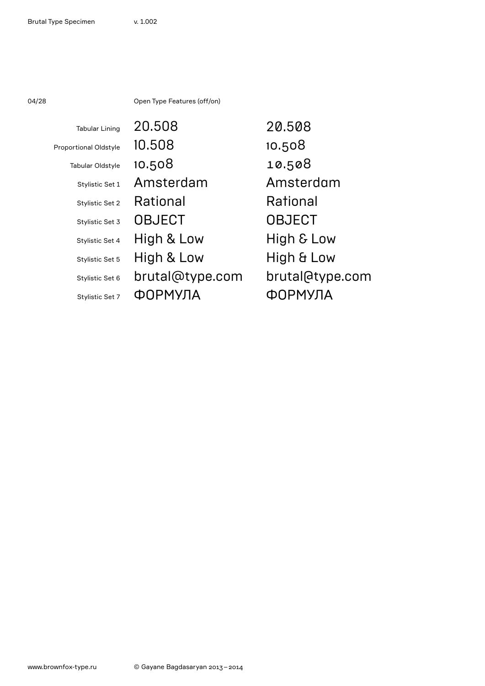04/28 Open Type Features (off/on)

| <b>Tabular Lining</b>        | 20.508          | 20,508          |
|------------------------------|-----------------|-----------------|
| <b>Proportional Oldstyle</b> | 10.508          | 10.508          |
| Tabular Oldstyle             | 10.508          | 10.508          |
| Stylistic Set 1              | Amsterdam       | Amsterdam       |
| Stylistic Set 2              | Rational        | Rational        |
| Stylistic Set 3              | <b>OBJECT</b>   | <b>OBJECT</b>   |
| Stylistic Set 4              | High & Low      | High & Low      |
| Stylistic Set 5              | High & Low      | High & Low      |
| Stylistic Set 6              | brutal@type.com | brutal@type.com |
| Stylistic Set 7              | <b>ОРМУЛА</b>   | ЈРМУЛА          |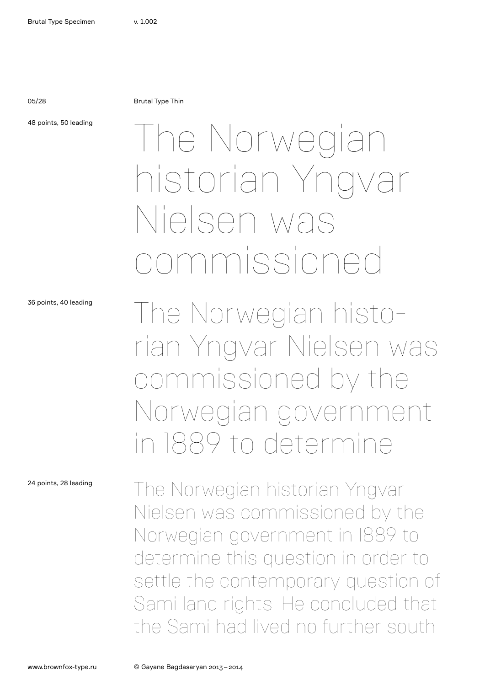05/28 Brutal Type Thin

48 points, 50 leading

## The Norwegian historian Yngvar Nielsen was commissioned

36 points, 40 leading

24 points, 28 leading

The Norwegian historian Yngvar Nielsen was commissioned by the Norwegian government in 1889 to determine

The Norwegian historian Yngvar Nielsen was commissioned by the Norwegian government in 1889 to determine this question in order to settle the contemporary question of Sami land rights. He concluded that the Sami had lived no further south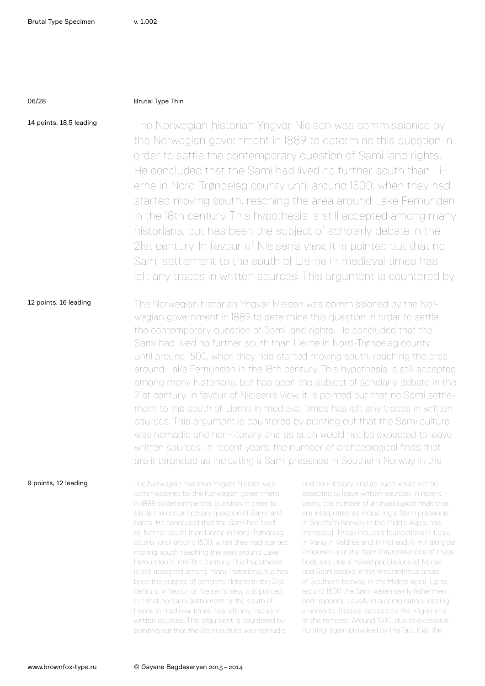### 06/28 Brutal Type Thin

14 points, 18.5 leading The Norwegian historian Yngvar Nielsen was commissioned by the Norwegian government in 1889 to determine this question in order to settle the contemporary question of Sami land rights. He concluded that the Sami had lived no further south than Lierne in Nord-Trøndelag county until around 1500, when they had started moving south, reaching the area around Lake Femunden in the 18th century. This hypothesis is still accepted among many historians, but has been the subject of scholarly debate in the 21st century. In favour of Nielsen's view, it is pointed out that no Sami settlement to the south of Lierne in medieval times has left any traces in written sources. This argument is countered by

12 points, 16 leading The Norwegian historian Yngvar Nielsen was commissioned by the Norwegian government in 1889 to determine this question in order to settle the contemporary question of Sami land rights. He concluded that the Sami had lived no further south than Lierne in Nord-Trøndelag county until around 1500, when they had started moving south, reaching the area around Lake Femunden in the 18th century. This hypothesis is still accepted among many historians, but has been the subject of scholarly debate in the 21st century. In favour of Nielsen's view, it is pointed out that no Sami settlement to the south of Lierne in medieval times has left any traces in written sources. This argument is countered by pointing out that the Sami culture was nomadic and non-literary, and as such would not be expected to leave written sources. In recent years, the number of archaeological finds that are interpreted as indicating a Sami presence in Southern Norway in the

9 points, 12 leading

The Norwegian historian Yngvar Nielsen was commissioned by the Norwegian government in 1889 to determine this question in order to settle the contemporary question of Sami land rights. He concluded that the Sami had lived no further south than Lierne in Nord-Trøndelag county until around 1500, when they had started moving south, reaching the area around Lake Femunden in the 18th century. This hypothesis is still accepted among many historians, but has been the subject of scholarly debate in the 21st century. In favour of Nielsen's view, it is pointed out that no Sami settlement to the south of Lierne in medieval times has left any traces in written sources. This argument is countered by pointing out that the Sami culture was nomadic

and non-literary, and as such would not be expected to leave written sources. In recent years, the number of archaeological finds that are interpreted as indicating a Sami presence in Southern Norway in the Middle Ages, has increased. These includes foundations in Lesja, in Vang in Valdres and in Hol and Ål in Hallingdal. Proponents of the Sami interpretations of these finds assume a mixed populations of Norse and Sami people in the mountainous areas of Southern Norway in the Middle Ages. Up to around 1500 the Sami were mainly fishermen and trappers, usually in a combination, leading a nomadic lifestyle decided by the migrations of the reindeer. Around 1500, due to excessive hunting, again provoked by the fact that the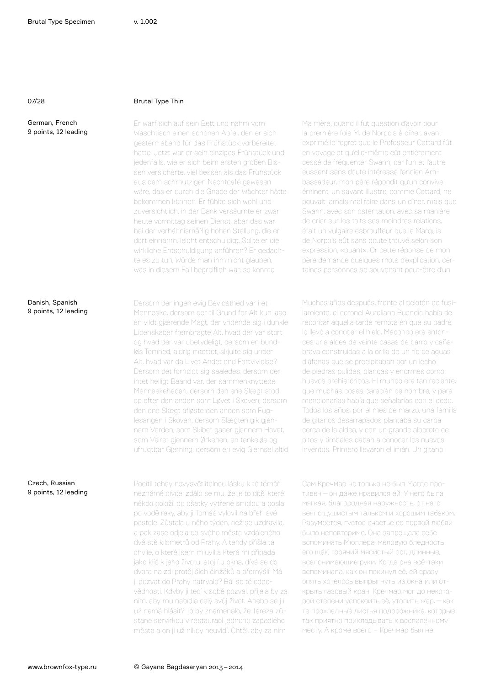Danish, Spanish 9 points, 12 leading

### 07/28 Brutal Type Thin

Er warf sich auf sein Bett und nahm vom Waschtisch einen schönen Apfel, den er sich gestern abend für das Frühstück vorbereitet hatte. Jetzt war er sein einziges Frühstück und jedenfalls, wie er sich beim ersten großen Bissen versicherte, viel besser, als das Frühstück aus dem schmutzigen Nachtcafé gewesen wäre, das er durch die Gnade der Wächter hätte bekommen können. Er fühlte sich wohl und zuversichtlich, in der Bank versäumte er zwar heute vormittag seinen Dienst, aber das war bei der verhältnismäßig hohen Stellung, die er dort einnahm, leicht entschuldigt. Sollte er die wirkliche Entschuldigung anführen? Er gedachte es zu tun, Würde man ihm nicht glauben, was in diesem Fall begreiflich war, so konnte

Dersom der ingen evig Bevidsthed var i et Menneske, dersom der til Grund for Alt kun laae en vildt gjærende Magt, der vridende sig i dunkle Lidenskaber frembragte Alt, hvad der var stort og hvad der var ubetydeligt, dersom en bundløs Tomhed, aldrig mættet, skjulte sig under Alt, hvad var da Livet Andet end Fortvivlelse? Dersom det forholdt sig saaledes, dersom der intet helligt Baand var, der sammenknyttede Menneskeheden, dersom den ene Slægt stod op efter den anden som Løvet i Skoven, dersom den ene Slægt afløste den anden som Fuglesangen i Skoven, dersom Slægten gik gjennem Verden, som Skibet gaaer gjennem Havet, som Veiret gjennem Ørkenen, en tankeløs og ufrugtbar Gjerning, dersom en evig Glemsel altid la première fois M. de Norpois à dîner, ayant exprimé le regret que le Professeur Cottard fût en voyage et qu'elle-même eût entièrement cessé de fréquenter Swann, car l'un et l'autre eussent sans doute intéressé l'ancien Ambassadeur, mon père répondit qu'un convive éminent, un savant illustre, comme Cottard, ne pouvait jamais mal faire dans un dîner, mais que Swann, avec son ostentation, avec sa manière de crier sur les toits ses moindres relations, était un vulgaire esbrouffeur que le Marquis de Norpois eût sans doute trouvé selon son expression, «puant». Or cette réponse de mon père demande quelques mots d'explication, certaines personnes se souvenant peut-être d'un

Ma mère, quand il fut question d'avoir pour

Muchos años después, frente al pelotón de fusilamiento, el coronel Aureliano Buendía había de recordar aquella tarde remota en que su padre lo llevó a conocer el hielo. Macondo era entonces una aldea de veinte casas de barro y cañabrava construidas a la orilla de un río de aguas diáfanas que se precipitaban por un lecho de piedras pulidas, blancas y enormes como huevos prehistóricos. El mundo era tan reciente, que muchas cosas carecían de nombre, y para mencionarlas había que señalarías con el dedo. Todos los años, por el mes de marzo, una familia de gitanos desarrapados plantaba su carpa cerca de la aldea, y con un grande alboroto de pitos y timbales daban a conocer los nuevos inventos. Primero llevaron el imán. Un gitano

### Czech, Russian 9 points, 12 leading

Pocítil tehdy nevysvětlitelnou lásku k té téměř neznámé dívce; zdálo se mu, že je to dítě, které někdo položil do ošatky vytřené smolou a poslal po vodě řeky, aby ji Tomáš vylovil na břeh své postele. Zůstala u něho týden, než se uzdravila, a pak zase odjela do svého města vzdáleného dvě stě kilometrů od Prahy. A tehdy přišla ta chvíle, o které jsem mluvil a která mi připadá jako klíč k jeho životu: stoj í u okna, dívá se do dvora na zdi protěj ších činžáků a přemýšlí: Má ji pozvat do Prahy natrvalo? Bál se té odpovědnosti. Kdyby ji teď k sobě pozval, přijela by za ním, aby mu nabídla celý svůj život. Anebo se j í už nemá hlásit? To by znamenalo, že Tereza zůstane servírkou v restauraci jednoho zapadlého města a on ji už nikdy neuvidí. Chtěl, aby za ním

Сам Кречмар не только не был Магде противен—он даже нравился ей. У него была мягкая, благородная наружность, от него веяло душистым тальком и хорошим табаком. Разумеется, густое счастье её первой любви было неповторимо. Она запрещала себе вспоминать Мюллера, меловую бледность его щёк, горячий мясистый рот, длинные, всепонимающие руки. Когда она всё-таки вспоминала, как он покинул её, ей сразу опять хотелось выпрыгнуть из окна или открыть газовый кран. Кречмар мог до некоторой степени успокоить её, утолить жар,—как те прохладные листья подорожника, которые так приятно прикладывать к воспалённому месту. А кроме всего – Кречмар был не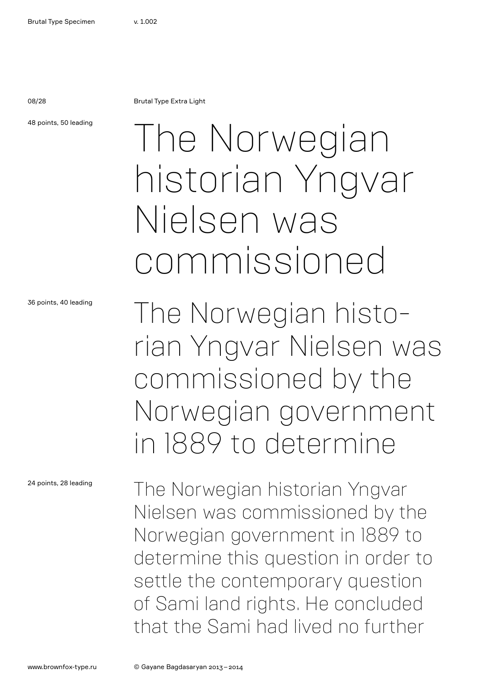08/28 Brutal Type Extra Light

48 points, 50 leading

## The Norwegian historian Yngvar Nielsen was commissioned

36 points, 40 leading

24 points, 28 leading

The Norwegian historian Yngvar Nielsen was commissioned by the Norwegian government in 1889 to determine

The Norwegian historian Yngvar Nielsen was commissioned by the Norwegian government in 1889 to determine this question in order to settle the contemporary question of Sami land rights. He concluded that the Sami had lived no further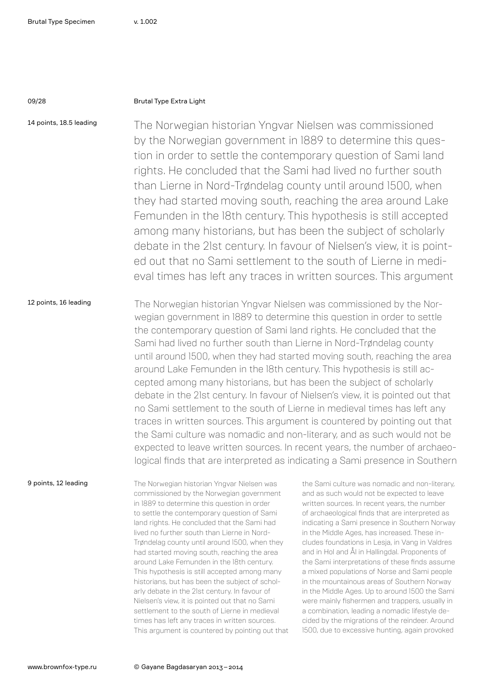### 09/28 Brutal Type Extra Light

14 points, 18.5 leading The Norwegian historian Yngvar Nielsen was commissioned by the Norwegian government in 1889 to determine this question in order to settle the contemporary question of Sami land rights. He concluded that the Sami had lived no further south than Lierne in Nord-Trøndelag county until around 1500, when they had started moving south, reaching the area around Lake Femunden in the 18th century. This hypothesis is still accepted among many historians, but has been the subject of scholarly debate in the 21st century. In favour of Nielsen's view, it is pointed out that no Sami settlement to the south of Lierne in medieval times has left any traces in written sources. This argument

12 points, 16 leading The Norwegian historian Yngvar Nielsen was commissioned by the Norwegian government in 1889 to determine this question in order to settle the contemporary question of Sami land rights. He concluded that the Sami had lived no further south than Lierne in Nord-Trøndelag county until around 1500, when they had started moving south, reaching the area around Lake Femunden in the 18th century. This hypothesis is still accepted among many historians, but has been the subject of scholarly debate in the 21st century. In favour of Nielsen's view, it is pointed out that no Sami settlement to the south of Lierne in medieval times has left any traces in written sources. This argument is countered by pointing out that the Sami culture was nomadic and non-literary, and as such would not be expected to leave written sources. In recent years, the number of archaeological finds that are interpreted as indicating a Sami presence in Southern

9 points, 12 leading

The Norwegian historian Yngvar Nielsen was commissioned by the Norwegian government in 1889 to determine this question in order to settle the contemporary question of Sami land rights. He concluded that the Sami had lived no further south than Lierne in Nord-Trøndelag county until around 1500, when they had started moving south, reaching the area around Lake Femunden in the 18th century. This hypothesis is still accepted among many historians, but has been the subject of scholarly debate in the 21st century. In favour of Nielsen's view, it is pointed out that no Sami settlement to the south of Lierne in medieval times has left any traces in written sources. This argument is countered by pointing out that

the Sami culture was nomadic and non-literary, and as such would not be expected to leave written sources. In recent years, the number of archaeological finds that are interpreted as indicating a Sami presence in Southern Norway in the Middle Ages, has increased. These includes foundations in Lesja, in Vang in Valdres and in Hol and Ål in Hallingdal. Proponents of the Sami interpretations of these finds assume a mixed populations of Norse and Sami people in the mountainous areas of Southern Norway in the Middle Ages. Up to around 1500 the Sami were mainly fishermen and trappers, usually in a combination, leading a nomadic lifestyle decided by the migrations of the reindeer. Around 1500, due to excessive hunting, again provoked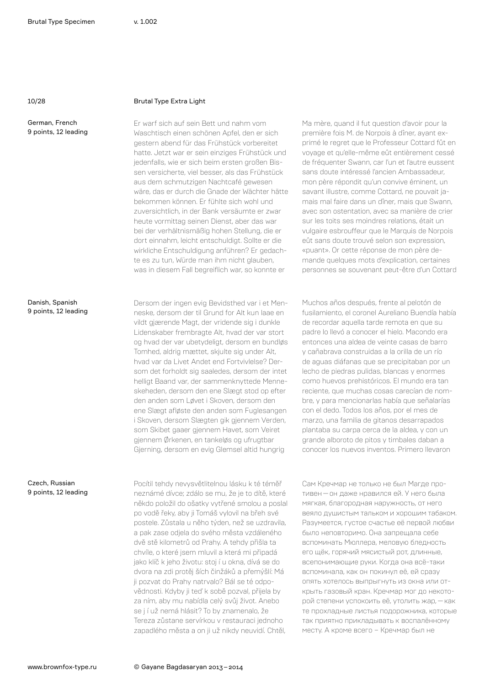### 10/28 Brutal Type Extra Light

Er warf sich auf sein Bett und nahm vom Waschtisch einen schönen Apfel, den er sich gestern abend für das Frühstück vorbereitet hatte. Jetzt war er sein einziges Frühstück und jedenfalls, wie er sich beim ersten großen Bissen versicherte, viel besser, als das Frühstück aus dem schmutzigen Nachtcafé gewesen wäre, das er durch die Gnade der Wächter hätte bekommen können. Er fühlte sich wohl und zuversichtlich, in der Bank versäumte er zwar heute vormittag seinen Dienst, aber das war bei der verhältnismäßig hohen Stellung, die er dort einnahm, leicht entschuldigt. Sollte er die wirkliche Entschuldigung anführen? Er gedachte es zu tun, Würde man ihm nicht glauben, was in diesem Fall begreiflich war, so konnte er

Danish, Spanish 9 points, 12 leading

Czech, Russian 9 points, 12 leading

### Dersom der ingen evig Bevidsthed var i et Menneske, dersom der til Grund for Alt kun laae en vildt gjærende Magt, der vridende sig i dunkle Lidenskaber frembragte Alt, hvad der var stort og hvad der var ubetydeligt, dersom en bundløs Tomhed, aldrig mættet, skjulte sig under Alt, hvad var da Livet Andet end Fortvivlelse? Dersom det forholdt sig saaledes, dersom der intet helligt Baand var, der sammenknyttede Menneskeheden, dersom den ene Slægt stod op efter den anden som Løvet i Skoven, dersom den ene Slægt afløste den anden som Fuglesangen i Skoven, dersom Slægten gik gjennem Verden, som Skibet gaaer gjennem Havet, som Veiret gjennem Ørkenen, en tankeløs og ufrugtbar Gjerning, dersom en evig Glemsel altid hungrig

Pocítil tehdy nevysvětlitelnou lásku k té téměř neznámé dívce; zdálo se mu, že je to dítě, které někdo položil do ošatky vytřené smolou a poslal po vodě řeky, aby ji Tomáš vylovil na břeh své postele. Zůstala u něho týden, než se uzdravila, a pak zase odjela do svého města vzdáleného dvě stě kilometrů od Prahy. A tehdy přišla ta chvíle, o které jsem mluvil a která mi připadá jako klíč k jeho životu: stoj í u okna, dívá se do dvora na zdi protěj ších činžáků a přemýšlí: Má ji pozvat do Prahy natrvalo? Bál se té odpovědnosti. Kdyby ji teď k sobě pozval, přijela by za ním, aby mu nabídla celý svůj život. Anebo se j í už nemá hlásit? To by znamenalo, že Tereza zůstane servírkou v restauraci jednoho zapadlého města a on ji už nikdy neuvidí. Chtěl,

Ma mère, quand il fut question d'avoir pour la première fois M. de Norpois à dîner, ayant exprimé le regret que le Professeur Cottard fût en voyage et qu'elle-même eût entièrement cessé de fréquenter Swann, car l'un et l'autre eussent sans doute intéressé l'ancien Ambassadeur, mon père répondit qu'un convive éminent, un savant illustre, comme Cottard, ne pouvait jamais mal faire dans un dîner, mais que Swann, avec son ostentation, avec sa manière de crier sur les toits ses moindres relations, était un vulgaire esbrouffeur que le Marquis de Norpois eût sans doute trouvé selon son expression, «puant». Or cette réponse de mon père demande quelques mots d'explication, certaines personnes se souvenant peut-être d'un Cottard

Muchos años después, frente al pelotón de fusilamiento, el coronel Aureliano Buendía había de recordar aquella tarde remota en que su padre lo llevó a conocer el hielo. Macondo era entonces una aldea de veinte casas de barro y cañabrava construidas a la orilla de un río de aguas diáfanas que se precipitaban por un lecho de piedras pulidas, blancas y enormes como huevos prehistóricos. El mundo era tan reciente, que muchas cosas carecían de nombre, y para mencionarlas había que señalarías con el dedo. Todos los años, por el mes de marzo, una familia de gitanos desarrapados plantaba su carpa cerca de la aldea, y con un grande alboroto de pitos y timbales daban a conocer los nuevos inventos. Primero llevaron

Сам Кречмар не только не был Магде противен—он даже нравился ей. У него была мягкая, благородная наружность, от него веяло душистым тальком и хорошим табаком. Разумеется, густое счастье её первой любви было неповторимо. Она запрещала себе вспоминать Мюллера, меловую бледность его щёк, горячий мясистый рот, длинные, всепонимающие руки. Когда она всё-таки вспоминала, как он покинул её, ей сразу опять хотелось выпрыгнуть из окна или открыть газовый кран. Кречмар мог до некоторой степени успокоить её, утолить жар,—как те прохладные листья подорожника, которые так приятно прикладывать к воспалённому месту. А кроме всего – Кречмар был не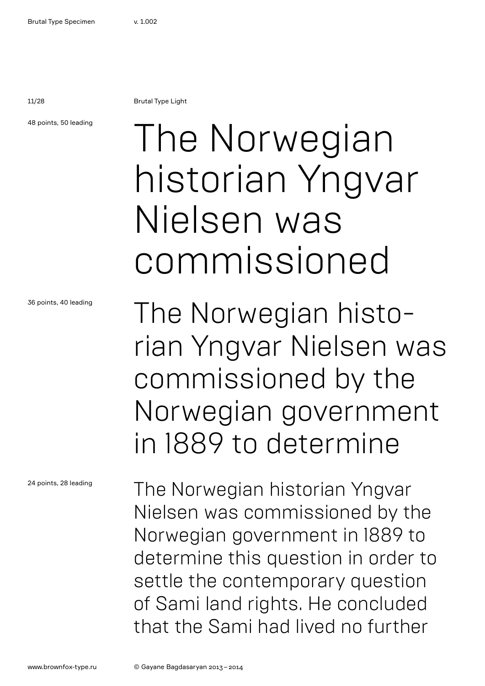11/28 Brutal Type Light

48 points, 50 leading

## The Norwegian historian Yngvar Nielsen was commissioned

The Norwegian historian Yngvar Nielsen was commissioned by the Norwegian government in 1889 to determine

The Norwegian historian Yngvar Nielsen was commissioned by the Norwegian government in 1889 to determine this question in order to settle the contemporary question of Sami land rights. He concluded that the Sami had lived no further

36 points, 40 leading

24 points, 28 leading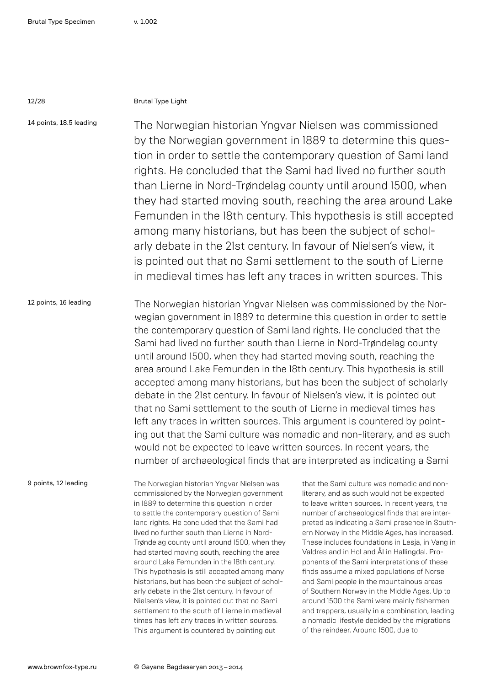### 12/28 Brutal Type Light

14 points, 18.5 leading The Norwegian historian Yngvar Nielsen was commissioned by the Norwegian government in 1889 to determine this question in order to settle the contemporary question of Sami land rights. He concluded that the Sami had lived no further south than Lierne in Nord-Trøndelag county until around 1500, when they had started moving south, reaching the area around Lake Femunden in the 18th century. This hypothesis is still accepted among many historians, but has been the subject of scholarly debate in the 21st century. In favour of Nielsen's view, it is pointed out that no Sami settlement to the south of Lierne in medieval times has left any traces in written sources. This

12 points, 16 leading The Norwegian historian Yngvar Nielsen was commissioned by the Norwegian government in 1889 to determine this question in order to settle the contemporary question of Sami land rights. He concluded that the Sami had lived no further south than Lierne in Nord-Trøndelag county until around 1500, when they had started moving south, reaching the area around Lake Femunden in the 18th century. This hypothesis is still accepted among many historians, but has been the subject of scholarly debate in the 21st century. In favour of Nielsen's view, it is pointed out that no Sami settlement to the south of Lierne in medieval times has left any traces in written sources. This argument is countered by pointing out that the Sami culture was nomadic and non-literary, and as such would not be expected to leave written sources. In recent years, the number of archaeological finds that are interpreted as indicating a Sami

9 points, 12 leading

The Norwegian historian Yngvar Nielsen was commissioned by the Norwegian government in 1889 to determine this question in order to settle the contemporary question of Sami land rights. He concluded that the Sami had lived no further south than Lierne in Nord-Trøndelag county until around 1500, when they had started moving south, reaching the area around Lake Femunden in the 18th century. This hypothesis is still accepted among many historians, but has been the subject of scholarly debate in the 21st century. In favour of Nielsen's view, it is pointed out that no Sami settlement to the south of Lierne in medieval times has left any traces in written sources. This argument is countered by pointing out

that the Sami culture was nomadic and nonliterary, and as such would not be expected to leave written sources. In recent years, the number of archaeological finds that are interpreted as indicating a Sami presence in Southern Norway in the Middle Ages, has increased. These includes foundations in Lesja, in Vang in Valdres and in Hol and Ål in Hallingdal. Proponents of the Sami interpretations of these finds assume a mixed populations of Norse and Sami people in the mountainous areas of Southern Norway in the Middle Ages. Up to around 1500 the Sami were mainly fishermen and trappers, usually in a combination, leading a nomadic lifestyle decided by the migrations of the reindeer. Around 1500, due to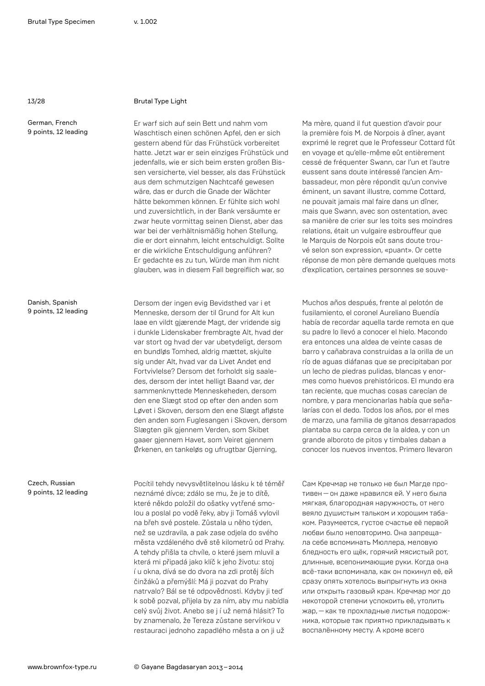### 13/28 Brutal Type Light

Er warf sich auf sein Bett und nahm vom Waschtisch einen schönen Apfel, den er sich gestern abend für das Frühstück vorbereitet hatte. Jetzt war er sein einziges Frühstück und jedenfalls, wie er sich beim ersten großen Bissen versicherte, viel besser, als das Frühstück aus dem schmutzigen Nachtcafé gewesen wäre, das er durch die Gnade der Wächter hätte bekommen können. Er fühlte sich wohl und zuversichtlich, in der Bank versäumte er zwar heute vormittag seinen Dienst, aber das war bei der verhältnismäßig hohen Stellung, die er dort einnahm, leicht entschuldigt. Sollte er die wirkliche Entschuldigung anführen? Er gedachte es zu tun, Würde man ihm nicht glauben, was in diesem Fall begreiflich war, so

Dersom der ingen evig Bevidsthed var i et Menneske, dersom der til Grund for Alt kun laae en vildt gjærende Magt, der vridende sig i dunkle Lidenskaber frembragte Alt, hvad der var stort og hvad der var ubetydeligt, dersom en bundløs Tomhed, aldrig mættet, skjulte sig under Alt, hvad var da Livet Andet end Fortvivlelse? Dersom det forholdt sig saaledes, dersom der intet helligt Baand var, der sammenknyttede Menneskeheden, dersom den ene Slægt stod op efter den anden som Løvet i Skoven, dersom den ene Slægt afløste den anden som Fuglesangen i Skoven, dersom Slægten gik gjennem Verden, som Skibet gaaer gjennem Havet, som Veiret gjennem Ørkenen, en tankeløs og ufrugtbar Gjerning,

Pocítil tehdy nevysvětlitelnou lásku k té téměř neznámé dívce; zdálo se mu, že je to dítě, které někdo položil do ošatky vytřené smolou a poslal po vodě řeky, aby ji Tomáš vylovil na břeh své postele. Zůstala u něho týden, než se uzdravila, a pak zase odjela do svého města vzdáleného dvě stě kilometrů od Prahy. A tehdy přišla ta chvíle, o které jsem mluvil a která mi připadá jako klíč k jeho životu: stoj í u okna, dívá se do dvora na zdi protěj ších činžáků a přemýšlí: Má ji pozvat do Prahy natrvalo? Bál se té odpovědnosti. Kdyby ji teď k sobě pozval, přijela by za ním, aby mu nabídla celý svůj život. Anebo se j í už nemá hlásit? To by znamenalo, že Tereza zůstane servírkou v restauraci jednoho zapadlého města a on ji už

Ma mère, quand il fut question d'avoir pour la première fois M. de Norpois à dîner, ayant exprimé le regret que le Professeur Cottard fût en voyage et qu'elle-même eût entièrement cessé de fréquenter Swann, car l'un et l'autre eussent sans doute intéressé l'ancien Ambassadeur, mon père répondit qu'un convive éminent, un savant illustre, comme Cottard, ne pouvait jamais mal faire dans un dîner, mais que Swann, avec son ostentation, avec sa manière de crier sur les toits ses moindres relations, était un vulgaire esbrouffeur que le Marquis de Norpois eût sans doute trouvé selon son expression, «puant». Or cette réponse de mon père demande quelques mots d'explication, certaines personnes se souve-

Muchos años después, frente al pelotón de fusilamiento, el coronel Aureliano Buendía había de recordar aquella tarde remota en que su padre lo llevó a conocer el hielo. Macondo era entonces una aldea de veinte casas de barro y cañabrava construidas a la orilla de un río de aguas diáfanas que se precipitaban por un lecho de piedras pulidas, blancas y enormes como huevos prehistóricos. El mundo era tan reciente, que muchas cosas carecían de nombre, y para mencionarlas había que señalarías con el dedo. Todos los años, por el mes de marzo, una familia de gitanos desarrapados plantaba su carpa cerca de la aldea, y con un grande alboroto de pitos y timbales daban a conocer los nuevos inventos. Primero llevaron

Сам Кречмар не только не был Магде противен—он даже нравился ей. У него была мягкая, благородная наружность, от него веяло душистым тальком и хорошим табаком. Разумеется, густое счастье её первой любви было неповторимо. Она запрещала себе вспоминать Мюллера, меловую бледность его щёк, горячий мясистый рот, длинные, всепонимающие руки. Когда она всё-таки вспоминала, как он покинул её, ей сразу опять хотелось выпрыгнуть из окна или открыть газовый кран. Кречмар мог до некоторой степени успокоить её, утолить жар,—как те прохладные листья подорожника, которые так приятно прикладывать к воспалённому месту. А кроме всего

Danish, Spanish 9 points, 12 leading

Czech, Russian 9 points, 12 leading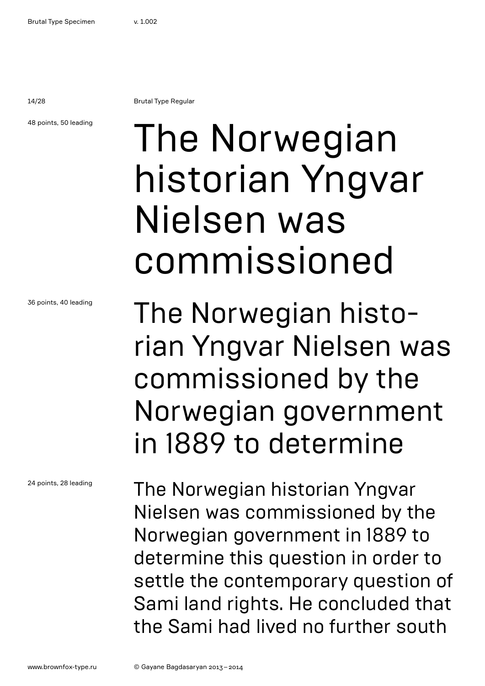14/28 Brutal Type Regular

48 points, 50 leading

## The Norwegian historian Yngvar Nielsen was commissioned

The Norwegian historian Yngvar Nielsen was commissioned by the Norwegian government in 1889 to determine

The Norwegian historian Yngvar Nielsen was commissioned by the Norwegian government in 1889 to determine this question in order to settle the contemporary question of Sami land rights. He concluded that the Sami had lived no further south

36 points, 40 leading

24 points, 28 leading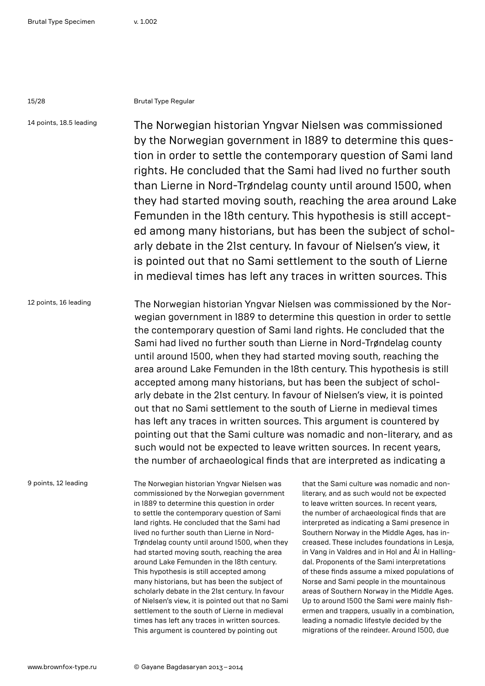### 15/28 Brutal Type Regular

14 points, 18.5 leading The Norwegian historian Yngvar Nielsen was commissioned by the Norwegian government in 1889 to determine this question in order to settle the contemporary question of Sami land rights. He concluded that the Sami had lived no further south than Lierne in Nord-Trøndelag county until around 1500, when they had started moving south, reaching the area around Lake Femunden in the 18th century. This hypothesis is still accepted among many historians, but has been the subject of scholarly debate in the 21st century. In favour of Nielsen's view, it is pointed out that no Sami settlement to the south of Lierne in medieval times has left any traces in written sources. This

12 points, 16 leading The Norwegian historian Yngvar Nielsen was commissioned by the Norwegian government in 1889 to determine this question in order to settle the contemporary question of Sami land rights. He concluded that the Sami had lived no further south than Lierne in Nord-Trøndelag county until around 1500, when they had started moving south, reaching the area around Lake Femunden in the 18th century. This hypothesis is still accepted among many historians, but has been the subject of scholarly debate in the 21st century. In favour of Nielsen's view, it is pointed out that no Sami settlement to the south of Lierne in medieval times has left any traces in written sources. This argument is countered by pointing out that the Sami culture was nomadic and non-literary, and as such would not be expected to leave written sources. In recent years, the number of archaeological finds that are interpreted as indicating a

9 points, 12 leading

The Norwegian historian Yngvar Nielsen was commissioned by the Norwegian government in 1889 to determine this question in order to settle the contemporary question of Sami land rights. He concluded that the Sami had lived no further south than Lierne in Nord-Trøndelag county until around 1500, when they had started moving south, reaching the area around Lake Femunden in the 18th century. This hypothesis is still accepted among many historians, but has been the subject of scholarly debate in the 21st century. In favour of Nielsen's view, it is pointed out that no Sami settlement to the south of Lierne in medieval times has left any traces in written sources. This argument is countered by pointing out

that the Sami culture was nomadic and nonliterary, and as such would not be expected to leave written sources. In recent years, the number of archaeological finds that are interpreted as indicating a Sami presence in Southern Norway in the Middle Ages, has increased. These includes foundations in Lesja, in Vang in Valdres and in Hol and Ål in Hallingdal. Proponents of the Sami interpretations of these finds assume a mixed populations of Norse and Sami people in the mountainous areas of Southern Norway in the Middle Ages. Up to around 1500 the Sami were mainly fishermen and trappers, usually in a combination, leading a nomadic lifestyle decided by the migrations of the reindeer. Around 1500, due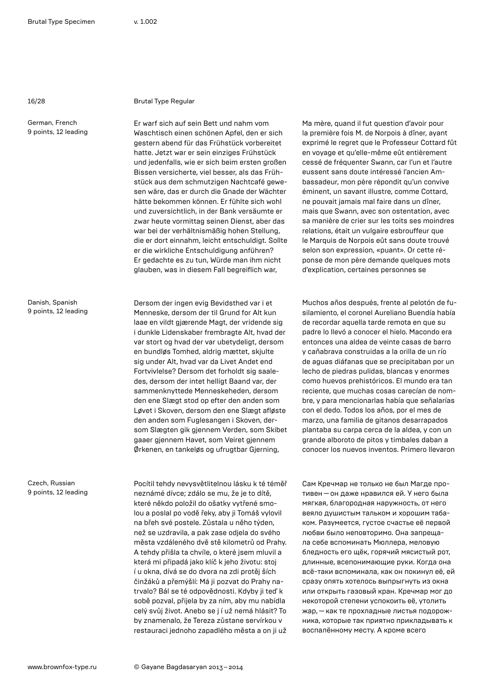#### 16/28 Brutal Type Regular

Er warf sich auf sein Bett und nahm vom Waschtisch einen schönen Apfel, den er sich gestern abend für das Frühstück vorbereitet hatte. Jetzt war er sein einziges Frühstück und jedenfalls, wie er sich beim ersten großen Bissen versicherte, viel besser, als das Frühstück aus dem schmutzigen Nachtcafé gewesen wäre, das er durch die Gnade der Wächter hätte bekommen können. Er fühlte sich wohl und zuversichtlich, in der Bank versäumte er zwar heute vormittag seinen Dienst, aber das war bei der verhältnismäßig hohen Stellung, die er dort einnahm, leicht entschuldigt. Sollte er die wirkliche Entschuldigung anführen? Er gedachte es zu tun, Würde man ihm nicht glauben, was in diesem Fall begreiflich war,

Dersom der ingen evig Bevidsthed var i et Menneske, dersom der til Grund for Alt kun laae en vildt gjærende Magt, der vridende sig i dunkle Lidenskaber frembragte Alt, hvad der var stort og hvad der var ubetydeligt, dersom en bundløs Tomhed, aldrig mættet, skjulte sig under Alt, hvad var da Livet Andet end Fortvivlelse? Dersom det forholdt sig saaledes, dersom der intet helligt Baand var, der sammenknyttede Menneskeheden, dersom den ene Slægt stod op efter den anden som Løvet i Skoven, dersom den ene Slægt afløste den anden som Fuglesangen i Skoven, dersom Slægten gik gjennem Verden, som Skibet gaaer gjennem Havet, som Veiret gjennem Ørkenen, en tankeløs og ufrugtbar Gjerning,

Pocítil tehdy nevysvětlitelnou lásku k té téměř neznámé dívce; zdálo se mu, že je to dítě, které někdo položil do ošatky vytřené smolou a poslal po vodě řeky, aby ji Tomáš vylovil na břeh své postele. Zůstala u něho týden, než se uzdravila, a pak zase odjela do svého města vzdáleného dvě stě kilometrů od Prahy. A tehdy přišla ta chvíle, o které jsem mluvil a která mi připadá jako klíč k jeho životu: stoj í u okna, dívá se do dvora na zdi protěj ších činžáků a přemýšlí: Má ji pozvat do Prahy natrvalo? Bál se té odpovědnosti. Kdyby ji teď k sobě pozval, přijela by za ním, aby mu nabídla celý svůj život. Anebo se j í už nemá hlásit? To by znamenalo, že Tereza zůstane servírkou v restauraci jednoho zapadlého města a on ji už Ma mère, quand il fut question d'avoir pour la première fois M. de Norpois à dîner, ayant exprimé le regret que le Professeur Cottard fût en voyage et qu'elle-même eût entièrement cessé de fréquenter Swann, car l'un et l'autre eussent sans doute intéressé l'ancien Ambassadeur, mon père répondit qu'un convive éminent, un savant illustre, comme Cottard, ne pouvait jamais mal faire dans un dîner, mais que Swann, avec son ostentation, avec sa manière de crier sur les toits ses moindres relations, était un vulgaire esbrouffeur que le Marquis de Norpois eût sans doute trouvé selon son expression, «puant». Or cette réponse de mon père demande quelques mots d'explication, certaines personnes se

Muchos años después, frente al pelotón de fusilamiento, el coronel Aureliano Buendía había de recordar aquella tarde remota en que su padre lo llevó a conocer el hielo. Macondo era entonces una aldea de veinte casas de barro y cañabrava construidas a la orilla de un río de aguas diáfanas que se precipitaban por un lecho de piedras pulidas, blancas y enormes como huevos prehistóricos. El mundo era tan reciente, que muchas cosas carecían de nombre, y para mencionarlas había que señalarías con el dedo. Todos los años, por el mes de marzo, una familia de gitanos desarrapados plantaba su carpa cerca de la aldea, y con un grande alboroto de pitos y timbales daban a conocer los nuevos inventos. Primero llevaron

Сам Кречмар не только не был Магде противен—он даже нравился ей. У него была мягкая, благородная наружность, от него веяло душистым тальком и хорошим табаком. Разумеется, густое счастье её первой любви было неповторимо. Она запрещала себе вспоминать Мюллера, меловую бледность его щёк, горячий мясистый рот, длинные, всепонимающие руки. Когда она всё-таки вспоминала, как он покинул её, ей сразу опять хотелось выпрыгнуть из окна или открыть газовый кран. Кречмар мог до некоторой степени успокоить её, утолить жар,—как те прохладные листья подорожника, которые так приятно прикладывать к воспалённому месту. А кроме всего

Danish, Spanish 9 points, 12 leading

Czech, Russian 9 points, 12 leading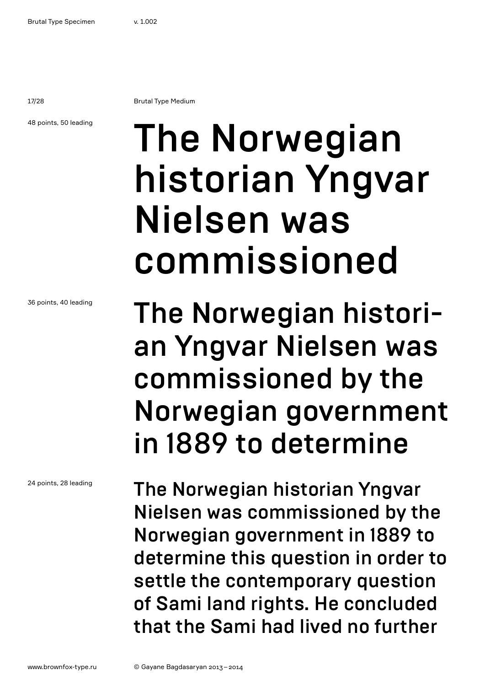17/28 Brutal Type Medium

48 points, 50 leading

## The Norwegian historian Yngvar Nielsen was commissioned

The Norwegian historian Yngvar Nielsen was commissioned by the Norwegian government in 1889 to determine

The Norwegian historian Yngvar Nielsen was commissioned by the Norwegian government in 1889 to determine this question in order to settle the contemporary question of Sami land rights. He concluded that the Sami had lived no further

36 points, 40 leading

24 points, 28 leading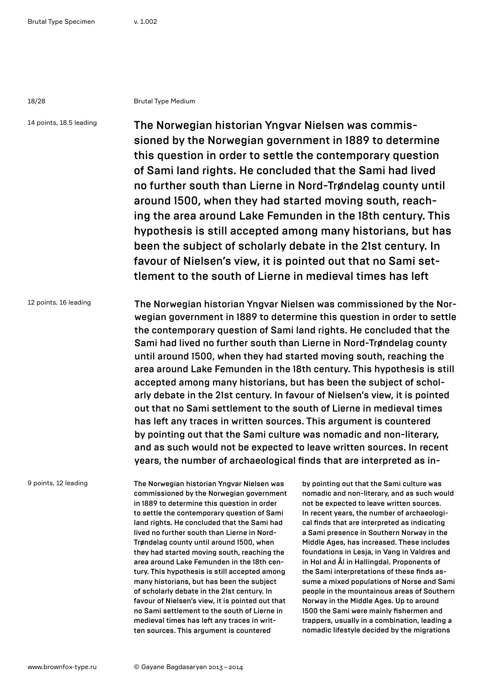#### 18/28 Brutal Type Medium

14 points, 18.5 leading The Norwegian historian Yngvar Nielsen was commissioned by the Norwegian government in 1889 to determine this question in order to settle the contemporary question of Sami land rights. He concluded that the Sami had lived no further south than Lierne in Nord-Trøndelag county until around 1500, when they had started moving south, reaching the area around Lake Femunden in the 18th century. This hypothesis is still accepted among many historians, but has been the subject of scholarly debate in the 21st century. In favour of Nielsen's view, it is pointed out that no Sami settlement to the south of Lierne in medieval times has left

12 points, 16 leading The Norwegian historian Yngvar Nielsen was commissioned by the Norwegian government in 1889 to determine this question in order to settle the contemporary question of Sami land rights. He concluded that the Sami had lived no further south than Lierne in Nord-Trøndelag county until around 1500, when they had started moving south, reaching the area around Lake Femunden in the 18th century. This hypothesis is still accepted among many historians, but has been the subject of scholarly debate in the 21st century. In favour of Nielsen's view, it is pointed out that no Sami settlement to the south of Lierne in medieval times has left any traces in written sources. This argument is countered by pointing out that the Sami culture was nomadic and non-literary, and as such would not be expected to leave written sources. In recent years, the number of archaeological finds that are interpreted as in-

9 points, 12 leading

The Norwegian historian Yngvar Nielsen was commissioned by the Norwegian government in 1889 to determine this question in order to settle the contemporary question of Sami land rights. He concluded that the Sami had lived no further south than Lierne in Nord-Trøndelag county until around 1500, when they had started moving south, reaching the area around Lake Femunden in the 18th century. This hypothesis is still accepted among many historians, but has been the subject of scholarly debate in the 21st century. In favour of Nielsen's view, it is pointed out that no Sami settlement to the south of Lierne in medieval times has left any traces in written sources. This argument is countered

by pointing out that the Sami culture was nomadic and non-literary, and as such would not be expected to leave written sources. In recent years, the number of archaeological finds that are interpreted as indicating a Sami presence in Southern Norway in the Middle Ages, has increased. These includes foundations in Lesja, in Vang in Valdres and in Hol and Ål in Hallingdal. Proponents of the Sami interpretations of these finds assume a mixed populations of Norse and Sami people in the mountainous areas of Southern Norway in the Middle Ages. Up to around 1500 the Sami were mainly fishermen and trappers, usually in a combination, leading a nomadic lifestyle decided by the migrations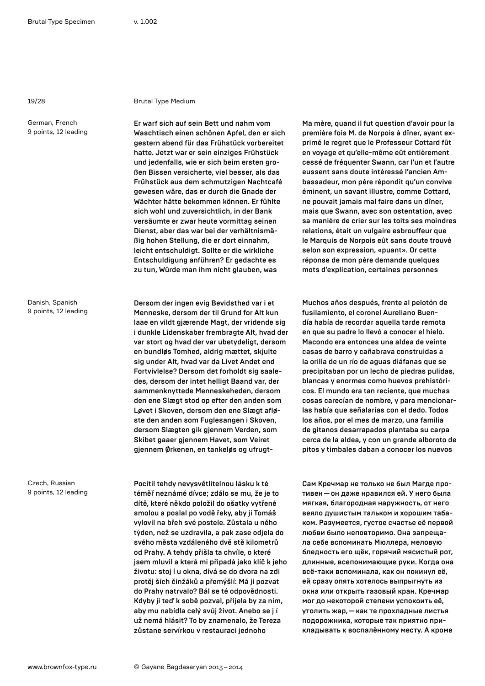#### 19/28 Brutal Type Medium

Er warf sich auf sein Bett und nahm vom Waschtisch einen schönen Apfel, den er sich gestern abend für das Frühstück vorbereitet hatte. Jetzt war er sein einziges Frühstück und jedenfalls, wie er sich beim ersten großen Bissen versicherte, viel besser, als das Frühstück aus dem schmutzigen Nachtcafé gewesen wäre, das er durch die Gnade der Wächter hätte bekommen können. Er fühlte sich wohl und zuversichtlich, in der Bank versäumte er zwar heute vormittag seinen Dienst, aber das war bei der verhältnismäßig hohen Stellung, die er dort einnahm, leicht entschuldigt. Sollte er die wirkliche Entschuldigung anführen? Er gedachte es zu tun, Würde man ihm nicht glauben, was

Dersom der ingen evig Bevidsthed var i et Menneske, dersom der til Grund for Alt kun laae en vildt gjærende Magt, der vridende sig i dunkle Lidenskaber frembragte Alt, hvad der var stort og hvad der var ubetydeligt, dersom en bundløs Tomhed, aldrig mættet, skjulte sig under Alt, hvad var da Livet Andet end Fortvivlelse? Dersom det forholdt sig saaledes, dersom der intet helligt Baand var, der sammenknyttede Menneskeheden, dersom den ene Slægt stod op efter den anden som Løvet i Skoven, dersom den ene Slægt afløste den anden som Fuglesangen i Skoven, dersom Slægten gik gjennem Verden, som Skibet gaaer gjennem Havet, som Veiret gjennem Ørkenen, en tankeløs og ufrugt-

Pocítil tehdy nevysvětlitelnou lásku k té téměř neznámé dívce; zdálo se mu, že je to dítě, které někdo položil do ošatky vytřené smolou a poslal po vodě řeky, aby ji Tomáš vylovil na břeh své postele. Zůstala u něho týden, než se uzdravila, a pak zase odjela do svého města vzdáleného dvě stě kilometrů od Prahy. A tehdy přišla ta chvíle, o které jsem mluvil a která mi připadá jako klíč k jeho životu: stoj í u okna, dívá se do dvora na zdi protěj ších činžáků a přemýšlí: Má ji pozvat do Prahy natrvalo? Bál se té odpovědnosti. Kdyby ji teď k sobě pozval, přijela by za ním, aby mu nabídla celý svůj život. Anebo se j í už nemá hlásit? To by znamenalo, že Tereza zůstane servírkou v restauraci jednoho

Ma mère, quand il fut question d'avoir pour la première fois M. de Norpois à dîner, ayant exprimé le regret que le Professeur Cottard fût en voyage et qu'elle-même eût entièrement cessé de fréquenter Swann, car l'un et l'autre eussent sans doute intéressé l'ancien Ambassadeur, mon père répondit qu'un convive éminent, un savant illustre, comme Cottard, ne pouvait jamais mal faire dans un dîner, mais que Swann, avec son ostentation, avec sa manière de crier sur les toits ses moindres relations, était un vulgaire esbrouffeur que le Marquis de Norpois eût sans doute trouvé selon son expression, «puant». Or cette réponse de mon père demande quelques mots d'explication, certaines personnes

Muchos años después, frente al pelotón de fusilamiento, el coronel Aureliano Buendía había de recordar aquella tarde remota en que su padre lo llevó a conocer el hielo. Macondo era entonces una aldea de veinte casas de barro y cañabrava construidas a la orilla de un río de aguas diáfanas que se precipitaban por un lecho de piedras pulidas, blancas y enormes como huevos prehistóricos. El mundo era tan reciente, que muchas cosas carecían de nombre, y para mencionarlas había que señalarías con el dedo. Todos los años, por el mes de marzo, una familia de gitanos desarrapados plantaba su carpa cerca de la aldea, y con un grande alboroto de pitos y timbales daban a conocer los nuevos

Сам Кречмар не только не был Магде противен—он даже нравился ей. У него была мягкая, благородная наружность, от него веяло душистым тальком и хорошим табаком. Разумеется, густое счастье её первой любви было неповторимо. Она запрещала себе вспоминать Мюллера, меловую бледность его щёк, горячий мясистый рот, длинные, всепонимающие руки. Когда она всё-таки вспоминала, как он покинул её, ей сразу опять хотелось выпрыгнуть из окна или открыть газовый кран. Кречмар мог до некоторой степени успокоить её, утолить жар,—как те прохладные листья подорожника, которые так приятно прикладывать к воспалённому месту. А кроме

Danish, Spanish 9 points, 12 leading

Czech, Russian 9 points, 12 leading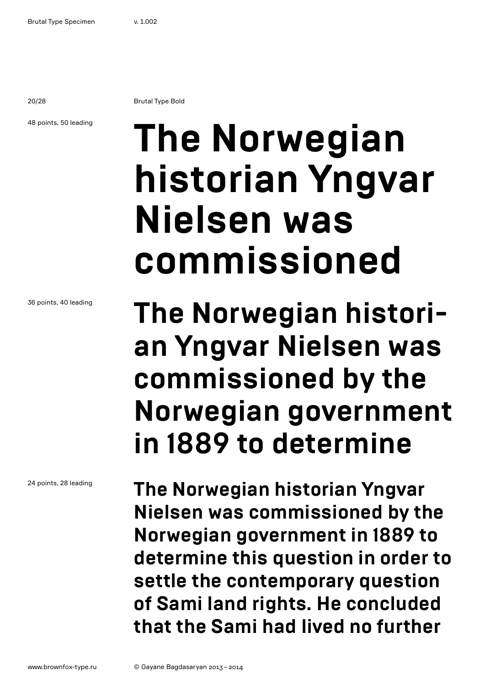20/28 Brutal Type Bold

### 48 points, 50 leading

## **The Norwegian historian Yngvar Nielsen was commissioned**

### 36 points, 40 leading

24 points, 28 leading

### **The Norwegian historian Yngvar Nielsen was commissioned by the Norwegian government in 1889 to determine**

**The Norwegian historian Yngvar Nielsen was commissioned by the Norwegian government in 1889 to determine this question in order to settle the contemporary question of Sami land rights. He concluded that the Sami had lived no further**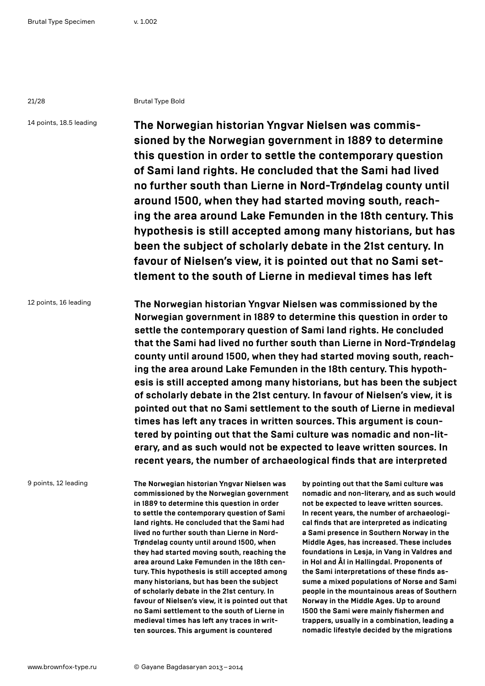#### 21/28 Brutal Type Bold

14 points, 18.5 leading **The Norwegian historian Yngvar Nielsen was commissioned by the Norwegian government in 1889 to determine this question in order to settle the contemporary question of Sami land rights. He concluded that the Sami had lived no further south than Lierne in Nord-Trøndelag county until around 1500, when they had started moving south, reaching the area around Lake Femunden in the 18th century. This hypothesis is still accepted among many historians, but has been the subject of scholarly debate in the 21st century. In favour of Nielsen's view, it is pointed out that no Sami settlement to the south of Lierne in medieval times has left** 

12 points, 16 leading **The Norwegian historian Yngvar Nielsen was commissioned by the Norwegian government in 1889 to determine this question in order to settle the contemporary question of Sami land rights. He concluded that the Sami had lived no further south than Lierne in Nord-Trøndelag county until around 1500, when they had started moving south, reaching the area around Lake Femunden in the 18th century. This hypothesis is still accepted among many historians, but has been the subject of scholarly debate in the 21st century. In favour of Nielsen's view, it is pointed out that no Sami settlement to the south of Lierne in medieval times has left any traces in written sources. This argument is countered by pointing out that the Sami culture was nomadic and non-literary, and as such would not be expected to leave written sources. In recent years, the number of archaeological finds that are interpreted** 

9 points, 12 leading

**The Norwegian historian Yngvar Nielsen was commissioned by the Norwegian government in 1889 to determine this question in order to settle the contemporary question of Sami land rights. He concluded that the Sami had lived no further south than Lierne in Nord-Trøndelag county until around 1500, when they had started moving south, reaching the area around Lake Femunden in the 18th century. This hypothesis is still accepted among many historians, but has been the subject of scholarly debate in the 21st century. In favour of Nielsen's view, it is pointed out that no Sami settlement to the south of Lierne in medieval times has left any traces in written sources. This argument is countered** 

**by pointing out that the Sami culture was nomadic and non-literary, and as such would not be expected to leave written sources. In recent years, the number of archaeological finds that are interpreted as indicating a Sami presence in Southern Norway in the Middle Ages, has increased. These includes foundations in Lesja, in Vang in Valdres and in Hol and Ål in Hallingdal. Proponents of the Sami interpretations of these finds assume a mixed populations of Norse and Sami people in the mountainous areas of Southern Norway in the Middle Ages. Up to around 1500 the Sami were mainly fishermen and trappers, usually in a combination, leading a nomadic lifestyle decided by the migrations**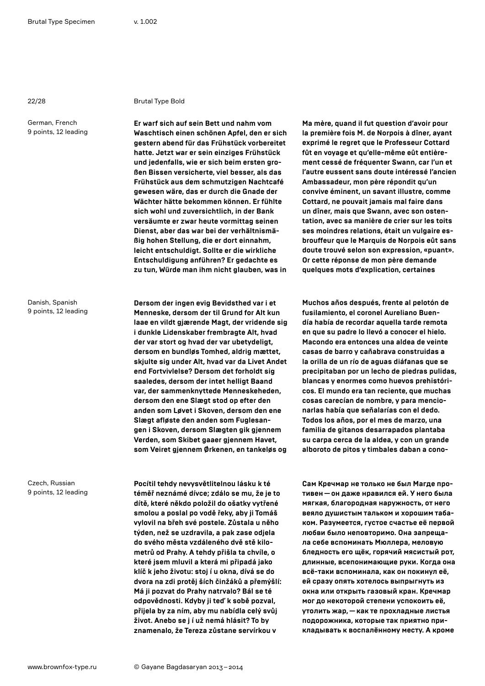#### 22/28 Brutal Type Bold

**Er warf sich auf sein Bett und nahm vom Waschtisch einen schönen Apfel, den er sich gestern abend für das Frühstück vorbereitet hatte. Jetzt war er sein einziges Frühstück und jedenfalls, wie er sich beim ersten großen Bissen versicherte, viel besser, als das Frühstück aus dem schmutzigen Nachtcafé gewesen wäre, das er durch die Gnade der Wächter hätte bekommen können. Er fühlte sich wohl und zuversichtlich, in der Bank versäumte er zwar heute vormittag seinen Dienst, aber das war bei der verhältnismäßig hohen Stellung, die er dort einnahm, leicht entschuldigt. Sollte er die wirkliche Entschuldigung anführen? Er gedachte es zu tun, Würde man ihm nicht glauben, was in** 

**Dersom der ingen evig Bevidsthed var i et Menneske, dersom der til Grund for Alt kun laae en vildt gjærende Magt, der vridende sig i dunkle Lidenskaber frembragte Alt, hvad der var stort og hvad der var ubetydeligt, dersom en bundløs Tomhed, aldrig mættet, skjulte sig under Alt, hvad var da Livet Andet end Fortvivlelse? Dersom det forholdt sig saaledes, dersom der intet helligt Baand var, der sammenknyttede Menneskeheden, dersom den ene Slægt stod op efter den anden som Løvet i Skoven, dersom den ene Slægt afløste den anden som Fuglesangen i Skoven, dersom Slægten gik gjennem Verden, som Skibet gaaer gjennem Havet, som Veiret gjennem Ørkenen, en tankeløs og** 

**Pocítil tehdy nevysvětlitelnou lásku k té téměř neznámé dívce; zdálo se mu, že je to dítě, které někdo položil do ošatky vytřené smolou a poslal po vodě řeky, aby ji Tomáš vylovil na břeh své postele. Zůstala u něho týden, než se uzdravila, a pak zase odjela do svého města vzdáleného dvě stě kilometrů od Prahy. A tehdy přišla ta chvíle, o které jsem mluvil a která mi připadá jako klíč k jeho životu: stoj í u okna, dívá se do dvora na zdi protěj ších činžáků a přemýšlí: Má ji pozvat do Prahy natrvalo? Bál se té odpovědnosti. Kdyby ji teď k sobě pozval, přijela by za ním, aby mu nabídla celý svůj život. Anebo se j í už nemá hlásit? To by znamenalo, že Tereza zůstane servírkou v** 

**Ma mère, quand il fut question d'avoir pour la première fois M. de Norpois à dîner, ayant exprimé le regret que le Professeur Cottard fût en voyage et qu'elle-même eût entièrement cessé de fréquenter Swann, car l'un et l'autre eussent sans doute intéressé l'ancien Ambassadeur, mon père répondit qu'un convive éminent, un savant illustre, comme Cottard, ne pouvait jamais mal faire dans un dîner, mais que Swann, avec son ostentation, avec sa manière de crier sur les toits ses moindres relations, était un vulgaire esbrouffeur que le Marquis de Norpois eût sans doute trouvé selon son expression, «puant». Or cette réponse de mon père demande quelques mots d'explication, certaines** 

**Muchos años después, frente al pelotón de fusilamiento, el coronel Aureliano Buendía había de recordar aquella tarde remota en que su padre lo llevó a conocer el hielo. Macondo era entonces una aldea de veinte casas de barro y cañabrava construidas a la orilla de un río de aguas diáfanas que se precipitaban por un lecho de piedras pulidas, blancas y enormes como huevos prehistóricos. El mundo era tan reciente, que muchas cosas carecían de nombre, y para mencionarlas había que señalarías con el dedo. Todos los años, por el mes de marzo, una familia de gitanos desarrapados plantaba su carpa cerca de la aldea, y con un grande alboroto de pitos y timbales daban a cono-**

**Сам Кречмар не только не был Магде противен—он даже нравился ей. У него была мягкая, благородная наружность, от него веяло душистым тальком и хорошим табаком. Разумеется, густое счастье её первой любви было неповторимо. Она запрещала себе вспоминать Мюллера, меловую бледность его щёк, горячий мясистый рот, длинные, всепонимающие руки. Когда она всё-таки вспоминала, как он покинул её, ей сразу опять хотелось выпрыгнуть из окна или открыть газовый кран. Кречмар мог до некоторой степени успокоить её, утолить жар,—как те прохладные листья подорожника, которые так приятно прикладывать к воспалённому месту. А кроме** 

Danish, Spanish 9 points, 12 leading

Czech, Russian 9 points, 12 leading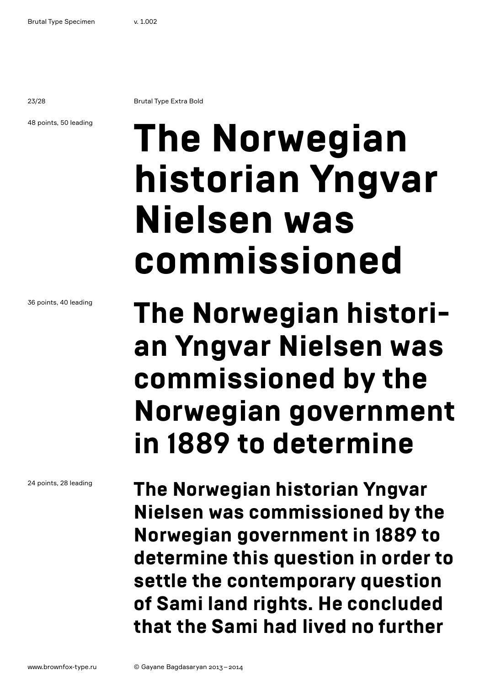23/28 Brutal Type Extra Bold

48 points, 50 leading

# **The Norwegian historian Yngvar Nielsen was commissioned**

### **The Norwegian historian Yngvar Nielsen was commissioned by the Norwegian government in 1889 to determine**

**The Norwegian historian Yngvar Nielsen was commissioned by the Norwegian government in 1889 to determine this question in order to settle the contemporary question of Sami land rights. He concluded that the Sami had lived no further** 

36 points, 40 leading

24 points, 28 leading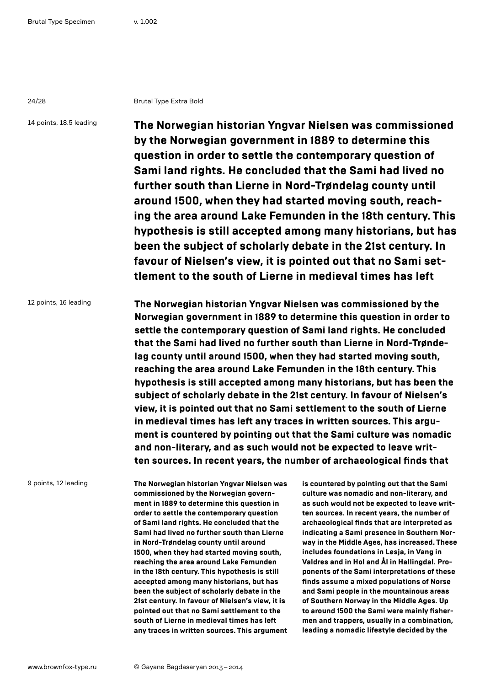24/28 Brutal Type Extra Bold

14 points, 18.5 leading

**The Norwegian historian Yngvar Nielsen was commissioned by the Norwegian government in 1889 to determine this question in order to settle the contemporary question of Sami land rights. He concluded that the Sami had lived no further south than Lierne in Nord-Trøndelag county until around 1500, when they had started moving south, reaching the area around Lake Femunden in the 18th century. This hypothesis is still accepted among many historians, but has been the subject of scholarly debate in the 21st century. In favour of Nielsen's view, it is pointed out that no Sami settlement to the south of Lierne in medieval times has left** 

12 points, 16 leading **The Norwegian historian Yngvar Nielsen was commissioned by the Norwegian government in 1889 to determine this question in order to settle the contemporary question of Sami land rights. He concluded that the Sami had lived no further south than Lierne in Nord-Trøndelag county until around 1500, when they had started moving south, reaching the area around Lake Femunden in the 18th century. This hypothesis is still accepted among many historians, but has been the subject of scholarly debate in the 21st century. In favour of Nielsen's view, it is pointed out that no Sami settlement to the south of Lierne in medieval times has left any traces in written sources. This argument is countered by pointing out that the Sami culture was nomadic and non-literary, and as such would not be expected to leave written sources. In recent years, the number of archaeological finds that** 

9 points, 12 leading

**The Norwegian historian Yngvar Nielsen was commissioned by the Norwegian government in 1889 to determine this question in order to settle the contemporary question of Sami land rights. He concluded that the Sami had lived no further south than Lierne in Nord-Trøndelag county until around 1500, when they had started moving south, reaching the area around Lake Femunden in the 18th century. This hypothesis is still accepted among many historians, but has been the subject of scholarly debate in the 21st century. In favour of Nielsen's view, it is pointed out that no Sami settlement to the south of Lierne in medieval times has left any traces in written sources. This argument** 

**is countered by pointing out that the Sami culture was nomadic and non-literary, and as such would not be expected to leave written sources. In recent years, the number of archaeological finds that are interpreted as indicating a Sami presence in Southern Norway in the Middle Ages, has increased. These includes foundations in Lesja, in Vang in Valdres and in Hol and Ål in Hallingdal. Proponents of the Sami interpretations of these finds assume a mixed populations of Norse and Sami people in the mountainous areas of Southern Norway in the Middle Ages. Up to around 1500 the Sami were mainly fishermen and trappers, usually in a combination, leading a nomadic lifestyle decided by the**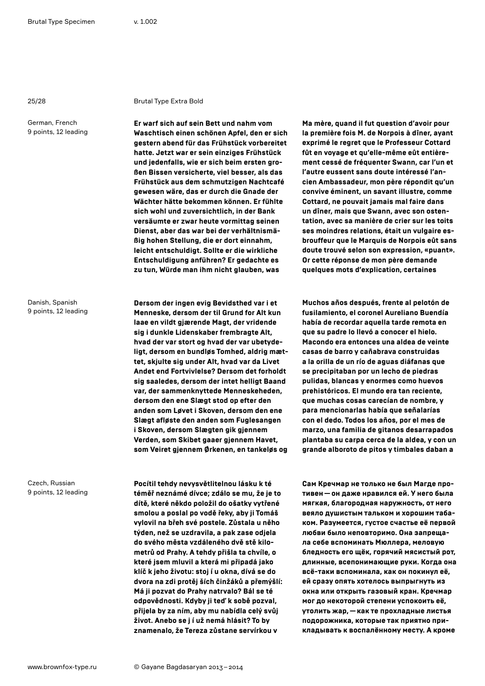#### 25/28 Brutal Type Extra Bold

**Er warf sich auf sein Bett und nahm vom Waschtisch einen schönen Apfel, den er sich gestern abend für das Frühstück vorbereitet hatte. Jetzt war er sein einziges Frühstück und jedenfalls, wie er sich beim ersten großen Bissen versicherte, viel besser, als das Frühstück aus dem schmutzigen Nachtcafé gewesen wäre, das er durch die Gnade der Wächter hätte bekommen können. Er fühlte sich wohl und zuversichtlich, in der Bank versäumte er zwar heute vormittag seinen Dienst, aber das war bei der verhältnismäßig hohen Stellung, die er dort einnahm, leicht entschuldigt. Sollte er die wirkliche Entschuldigung anführen? Er gedachte es zu tun, Würde man ihm nicht glauben, was** 

**Dersom der ingen evig Bevidsthed var i et Menneske, dersom der til Grund for Alt kun laae en vildt gjærende Magt, der vridende sig i dunkle Lidenskaber frembragte Alt, hvad der var stort og hvad der var ubetydeligt, dersom en bundløs Tomhed, aldrig mættet, skjulte sig under Alt, hvad var da Livet Andet end Fortvivlelse? Dersom det forholdt sig saaledes, dersom der intet helligt Baand var, der sammenknyttede Menneskeheden, dersom den ene Slægt stod op efter den anden som Løvet i Skoven, dersom den ene Slægt afløste den anden som Fuglesangen i Skoven, dersom Slægten gik gjennem Verden, som Skibet gaaer gjennem Havet, som Veiret gjennem Ørkenen, en tankeløs og** 

**Pocítil tehdy nevysvětlitelnou lásku k té téměř neznámé dívce; zdálo se mu, že je to dítě, které někdo položil do ošatky vytřené smolou a poslal po vodě řeky, aby ji Tomáš vylovil na břeh své postele. Zůstala u něho týden, než se uzdravila, a pak zase odjela do svého města vzdáleného dvě stě kilometrů od Prahy. A tehdy přišla ta chvíle, o které jsem mluvil a která mi připadá jako klíč k jeho životu: stoj í u okna, dívá se do dvora na zdi protěj ších činžáků a přemýšlí: Má ji pozvat do Prahy natrvalo? Bál se té odpovědnosti. Kdyby ji teď k sobě pozval, přijela by za ním, aby mu nabídla celý svůj život. Anebo se j í už nemá hlásit? To by znamenalo, že Tereza zůstane servírkou v** 

**Ma mère, quand il fut question d'avoir pour la première fois M. de Norpois à dîner, ayant exprimé le regret que le Professeur Cottard fût en voyage et qu'elle-même eût entièrement cessé de fréquenter Swann, car l'un et l'autre eussent sans doute intéressé l'ancien Ambassadeur, mon père répondit qu'un convive éminent, un savant illustre, comme Cottard, ne pouvait jamais mal faire dans un dîner, mais que Swann, avec son ostentation, avec sa manière de crier sur les toits ses moindres relations, était un vulgaire esbrouffeur que le Marquis de Norpois eût sans doute trouvé selon son expression, «puant». Or cette réponse de mon père demande quelques mots d'explication, certaines** 

**Muchos años después, frente al pelotón de fusilamiento, el coronel Aureliano Buendía había de recordar aquella tarde remota en que su padre lo llevó a conocer el hielo. Macondo era entonces una aldea de veinte casas de barro y cañabrava construidas a la orilla de un río de aguas diáfanas que se precipitaban por un lecho de piedras pulidas, blancas y enormes como huevos prehistóricos. El mundo era tan reciente, que muchas cosas carecían de nombre, y para mencionarlas había que señalarías con el dedo. Todos los años, por el mes de marzo, una familia de gitanos desarrapados plantaba su carpa cerca de la aldea, y con un grande alboroto de pitos y timbales daban a** 

**Сам Кречмар не только не был Магде противен—он даже нравился ей. У него была мягкая, благородная наружность, от него веяло душистым тальком и хорошим табаком. Разумеется, густое счастье её первой любви было неповторимо. Она запрещала себе вспоминать Мюллера, меловую бледность его щёк, горячий мясистый рот, длинные, всепонимающие руки. Когда она всё-таки вспоминала, как он покинул её, ей сразу опять хотелось выпрыгнуть из окна или открыть газовый кран. Кречмар мог до некоторой степени успокоить её, утолить жар,—как те прохладные листья подорожника, которые так приятно прикладывать к воспалённому месту. А кроме** 

Danish, Spanish 9 points, 12 leading

Czech, Russian 9 points, 12 leading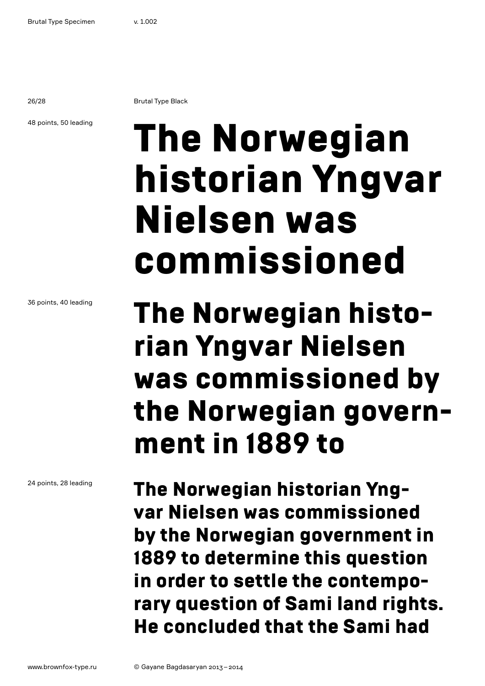26/28 Brutal Type Black

48 points, 50 leading

# The Norwegian historian Yngvar Nielsen was commissioned

36 points, 40 leading

24 points, 28 leading

The Norwegian historian Yngvar Nielsen was commissioned by the Norwegian government in 1889 to

The Norwegian historian Yngvar Nielsen was commissioned by the Norwegian government in 1889 to determine this question in order to settle the contemporary question of Sami land rights. He concluded that the Sami had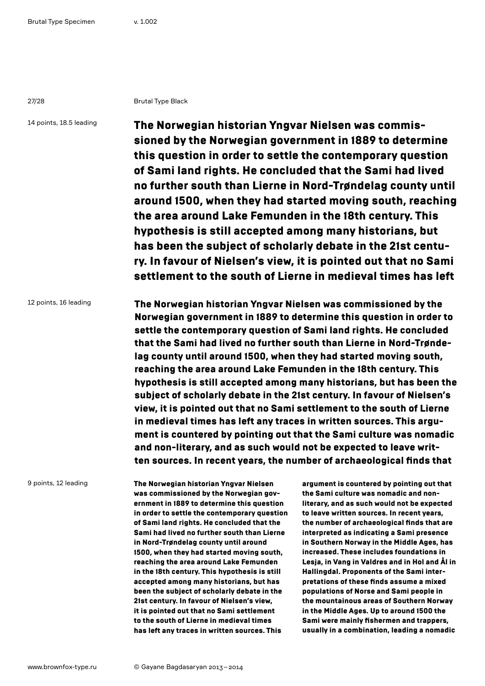27/28 Brutal Type Black

14 points, 18.5 leading

The Norwegian historian Yngvar Nielsen was commissioned by the Norwegian government in 1889 to determine this question in order to settle the contemporary question of Sami land rights. He concluded that the Sami had lived no further south than Lierne in Nord-Trøndelag county until around 1500, when they had started moving south, reaching the area around Lake Femunden in the 18th century. This hypothesis is still accepted among many historians, but has been the subject of scholarly debate in the 21st century. In favour of Nielsen's view, it is pointed out that no Sami settlement to the south of Lierne in medieval times has left

12 points, 16 leading The Norwegian historian Yngvar Nielsen was commissioned by the Norwegian government in 1889 to determine this question in order to settle the contemporary question of Sami land rights. He concluded that the Sami had lived no further south than Lierne in Nord-Trøndelag county until around 1500, when they had started moving south, reaching the area around Lake Femunden in the 18th century. This hypothesis is still accepted among many historians, but has been the subject of scholarly debate in the 21st century. In favour of Nielsen's view, it is pointed out that no Sami settlement to the south of Lierne in medieval times has left any traces in written sources. This argument is countered by pointing out that the Sami culture was nomadic and non-literary, and as such would not be expected to leave written sources. In recent years, the number of archaeological finds that

9 points, 12 leading

The Norwegian historian Yngvar Nielsen was commissioned by the Norwegian government in 1889 to determine this question in order to settle the contemporary question of Sami land rights. He concluded that the Sami had lived no further south than Lierne in Nord-Trøndelag county until around 1500, when they had started moving south, reaching the area around Lake Femunden in the 18th century. This hypothesis is still accepted among many historians, but has been the subject of scholarly debate in the 21st century. In favour of Nielsen's view, it is pointed out that no Sami settlement to the south of Lierne in medieval times has left any traces in written sources. This

argument is countered by pointing out that the Sami culture was nomadic and nonliterary, and as such would not be expected to leave written sources. In recent years, the number of archaeological finds that are interpreted as indicating a Sami presence in Southern Norway in the Middle Ages, has increased. These includes foundations in Lesja, in Vang in Valdres and in Hol and Ål in Hallingdal. Proponents of the Sami interpretations of these finds assume a mixed populations of Norse and Sami people in the mountainous areas of Southern Norway in the Middle Ages. Up to around 1500 the Sami were mainly fishermen and trappers, usually in a combination, leading a nomadic